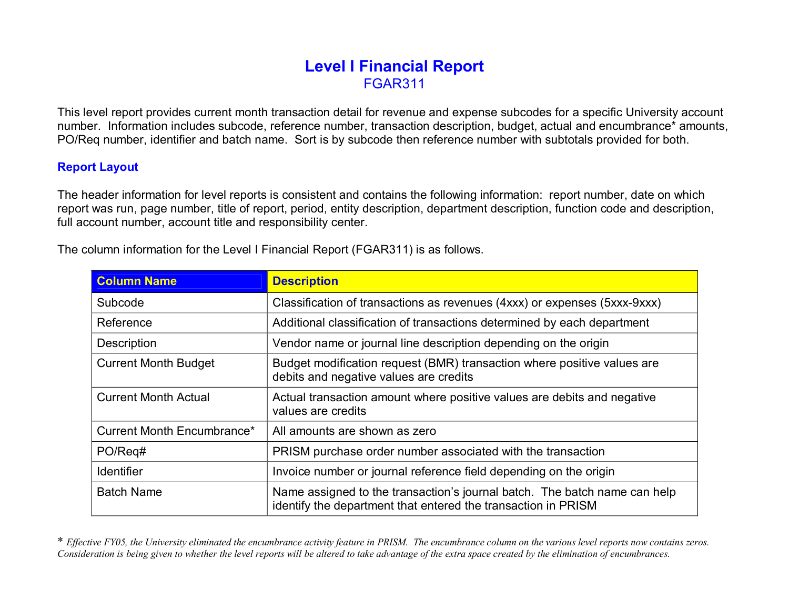## **Level I Financial Report** FGAR311

This level report provides current month transaction detail for revenue and expense subcodes for a specific University account number. Information includes subcode, reference number, transaction description, budget, actual and encumbrance\* amounts, PO/Req number, identifier and batch name. Sort is by subcode then reference number with subtotals provided for both.

## **Report Layout**

The header information for level reports is consistent and contains the following information: report number, date on which report was run, page number, title of report, period, entity description, department description, function code and description, full account number, account title and responsibility center.

The column information for the Level I Financial Report (FGAR311) is as follows.

| <b>Column Name</b>          | <b>Description</b>                                                                                                                         |  |  |  |  |
|-----------------------------|--------------------------------------------------------------------------------------------------------------------------------------------|--|--|--|--|
| Subcode                     | Classification of transactions as revenues (4xxx) or expenses (5xxx-9xxx)                                                                  |  |  |  |  |
| Reference                   | Additional classification of transactions determined by each department                                                                    |  |  |  |  |
| Description                 | Vendor name or journal line description depending on the origin                                                                            |  |  |  |  |
| <b>Current Month Budget</b> | Budget modification request (BMR) transaction where positive values are<br>debits and negative values are credits                          |  |  |  |  |
| <b>Current Month Actual</b> | Actual transaction amount where positive values are debits and negative<br>values are credits                                              |  |  |  |  |
| Current Month Encumbrance*  | All amounts are shown as zero                                                                                                              |  |  |  |  |
| PO/Req#                     | PRISM purchase order number associated with the transaction                                                                                |  |  |  |  |
| <b>Identifier</b>           | Invoice number or journal reference field depending on the origin                                                                          |  |  |  |  |
| <b>Batch Name</b>           | Name assigned to the transaction's journal batch. The batch name can help<br>identify the department that entered the transaction in PRISM |  |  |  |  |

\* Effective FY05, the University eliminated the encumbrance activity feature in PRISM. The encumbrance column on the various level reports now contains zeros. Consideration is being given to whether the level reports will be altered to take advantage of the extra space created by the elimination of encumbrances.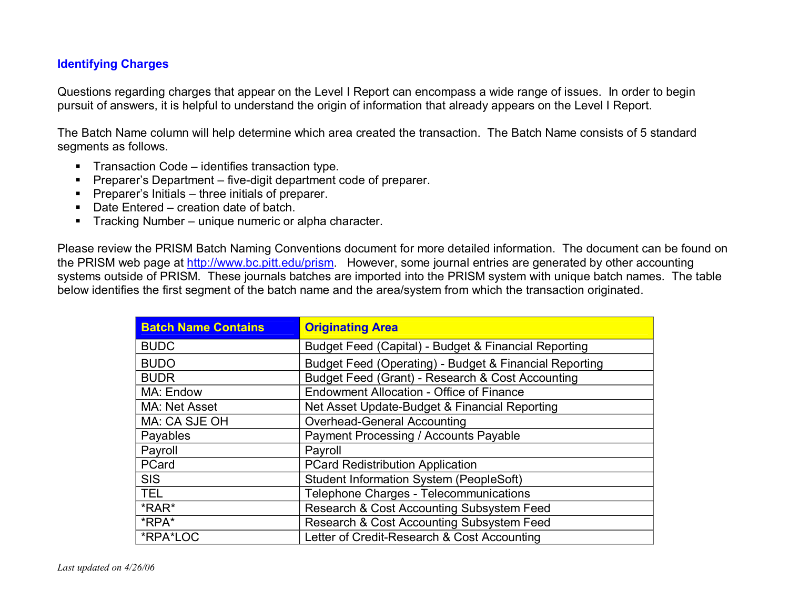## **Identifying Charges**

Questions regarding charges that appear on the Level I Report can encompass a wide range of issues. In order to begin pursuit of answers, it is helpful to understand the origin of information that already appears on the Level I Report.

The Batch Name column will help determine which area created the transaction. The Batch Name consists of 5 standard segments as follows.

- **Figure 1** Transaction Code identifies transaction type.
- **Preparer's Department five-digit department code of preparer.**
- **Preparer's Initials three initials of preparer.**
- Date Entered creation date of batch.
- **FIFR** Tracking Number unique numeric or alpha character.

Please review the PRISM Batch Naming Conventions document for more detailed information. The document can be found on the PRISM web page at <http://www.bc.pitt.edu/prism>. However, some journal entries are generated by other accounting systems outside of PRISM. These journals batches are imported into the PRISM system with unique batch names. The table below identifies the first segment of the batch name and the area/system from which the transaction originated.

| <b>Batch Name Contains</b> | <b>Originating Area</b>                                |  |  |  |  |  |
|----------------------------|--------------------------------------------------------|--|--|--|--|--|
| <b>BUDC</b>                | Budget Feed (Capital) - Budget & Financial Reporting   |  |  |  |  |  |
| <b>BUDO</b>                | Budget Feed (Operating) - Budget & Financial Reporting |  |  |  |  |  |
| <b>BUDR</b>                | Budget Feed (Grant) - Research & Cost Accounting       |  |  |  |  |  |
| MA: Endow                  | <b>Endowment Allocation - Office of Finance</b>        |  |  |  |  |  |
| MA: Net Asset              | Net Asset Update-Budget & Financial Reporting          |  |  |  |  |  |
| MA: CA SJE OH              | <b>Overhead-General Accounting</b>                     |  |  |  |  |  |
| Payables                   | Payment Processing / Accounts Payable                  |  |  |  |  |  |
| Payroll                    | Payroll                                                |  |  |  |  |  |
| PCard                      | <b>PCard Redistribution Application</b>                |  |  |  |  |  |
| <b>SIS</b>                 | <b>Student Information System (PeopleSoft)</b>         |  |  |  |  |  |
| <b>TEL</b>                 | Telephone Charges - Telecommunications                 |  |  |  |  |  |
| *RAR*                      | Research & Cost Accounting Subsystem Feed              |  |  |  |  |  |
| *RPA*                      | Research & Cost Accounting Subsystem Feed              |  |  |  |  |  |
| *RPA*LOC                   | Letter of Credit-Research & Cost Accounting            |  |  |  |  |  |